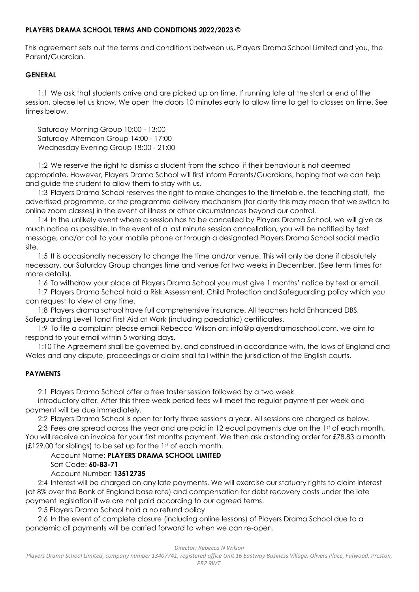# **PLAYERS DRAMA SCHOOL TERMS AND CONDITIONS 2022/2023 ©**

This agreement sets out the terms and conditions between us, Players Drama School Limited and you, the Parent/Guardian.

## **GENERAL**

1:1 We ask that students arrive and are picked up on time. If running late at the start or end of the session, please let us know. We open the doors 10 minutes early to allow time to get to classes on time. See times below.

Saturday Morning Group 10:00 - 13:00 Saturday Afternoon Group 14:00 - 17:00 Wednesday Evening Group 18:00 - 21:00

1:2 We reserve the right to dismiss a student from the school if their behaviour is not deemed appropriate. However, Players Drama School will first inform Parents/Guardians, hoping that we can help and guide the student to allow them to stay with us.

1:3 Players Drama School reserves the right to make changes to the timetable, the teaching staff, the advertised programme, or the programme delivery mechanism (for clarity this may mean that we switch to online zoom classes) in the event of illness or other circumstances beyond our control.

1:4 In the unlikely event where a session has to be cancelled by Players Drama School, we will give as much notice as possible. In the event of a last minute session cancellation, you will be notified by text message, and/or call to your mobile phone or through a designated Players Drama School social media site.

1:5 It is occasionally necessary to change the time and/or venue. This will only be done if absolutely necessary, our Saturday Group changes time and venue for two weeks in December. (See term times for more details).

1:6 To withdraw your place at Players Drama School you must give 1 months' notice by text or email.

1:7 Players Drama School hold a Risk Assessment, Child Protection and Safeguarding policy which you can request to view at any time.

1:8 Players drama school have full comprehensive insurance. All teachers hold Enhanced DBS, Safeguarding Level 1and First Aid at Work (including paediatric) certificates.

1:9 To file a complaint please email Rebecca Wilson on: info@playersdramaschool.com, we aim to respond to your email within 5 working days.

1:10 The Agreement shall be governed by, and construed in accordance with, the laws of England and Wales and any dispute, proceedings or claim shall fall within the jurisdiction of the English courts.

# **PAYMENTS**

2:1 Players Drama School offer a free taster session followed by a two week

introductory offer. After this three week period fees will meet the regular payment per week and payment will be due immediately.

2:2 Players Drama School is open for forty three sessions a year. All sessions are charged as below.

2:3 Fees are spread across the year and are paid in 12 equal payments due on the 1st of each month. You will receive an invoice for your first months payment. We then ask a standing order for £78.83 a month (£129.00 for siblings) to be set up for the 1st of each month.

# Account Name: **PLAYERS DRAMA SCHOOL LIMITED**

Sort Code: **60-83-71**

### Account Number: **13512735**

2:4 Interest will be charged on any late payments. We will exercise our statuary rights to claim interest (at 8% over the Bank of England base rate) and compensation for debt recovery costs under the late payment legislation if we are not paid according to our agreed terms.

2:5 Players Drama School hold a no refund policy

2:6 In the event of complete closure (including online lessons) of Players Drama School due to a pandemic all payments will be carried forward to when we can re-open.

#### *Director: Rebecca N Wilson*

*Players Drama School Limited, company number 13407741, registered office Unit 16 Eastway Business Village, Olivers Place, Fulwood, Preston, PR2 9WT.*